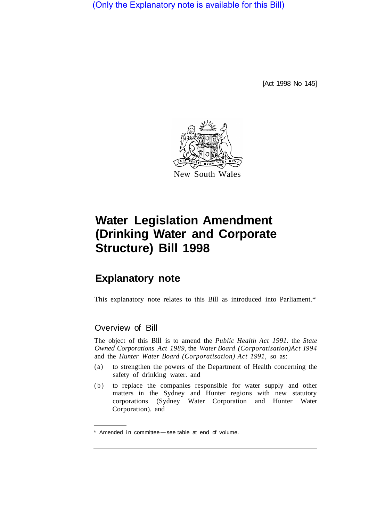(Only the Explanatory note is available for this Bill)

[Act 1998 No 145]



# **Water Legislation Amendment (Drinking Water and Corporate Structure) Bill 1998**

# **Explanatory note**

This explanatory note relates to this Bill as introduced into Parliament.\*

# Overview of Bill

The object of this Bill is to amend the *Public Health Act 1991.* the *State Owned Corporations Act 1989,* the *Water Board (Corporatisation) Act I994*  and the *Hunter Water Board (Corporatisation) Act 1991,* so as:

- (a) to strengthen the powers of the Department of Health concerning the safety of drinking water. and
- (b) to replace the companies responsible for water supply and other matters in the Sydney and Hunter regions with new statutory corporations (Sydney Water Corporation and Hunter Water Corporation). and

<sup>\*</sup> Amended in committee-see table at end of volume.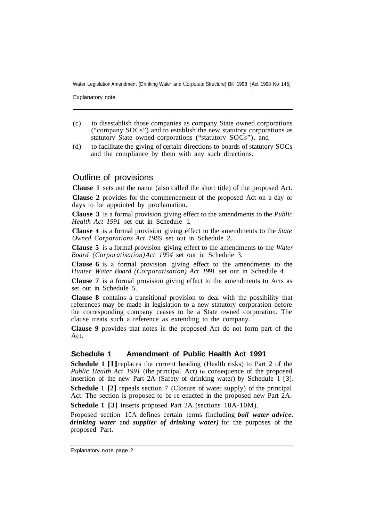Water Legislation Amendment (Drinking Water and Corporate Structure) Bill 1998 [Act 1998 No 145]

Explanatory note

- (c) to disestablish those companies as company State owned corporations ("company SOCs") and to establish the new statutory corporations as statutory State owned corporations ("statutory SOCs"), and
- (d) to facilitate the giving of certain directions to boards of statutory SOCs and the compliance by them with any such directions.

### Outline of provisions

**Clause 1** sets out the name (also called the short title) of the proposed Act.

**Clause 2** provides for the commencement of the proposed Act on a day or days to be appointed by proclamation.

**Clause 3** is a formal provision giving effect to the amendments to the *Public Health Act 1991* set out in Schedule 1.

**Clause 4** is a formal provision giving effect to the amendments to the *State Owned Corporations Act 1989* set out in Schedule 2.

**Clause 5** is a formal provision giving effect to the amendments to the *Water Board (Corporatisation) Act 1994* set out in Schedule 3.

**Clause 6** is a formal provision giving effect to the amendments to the *Hunter Water Board (Corporatisation) Act 1991* set out in Schedule 4.

**Clause 7** is a formal provision giving effect to the amendments to Acts as set out in Schedule 5.

**Clause 8** contains a transitional provision to deal with the possibility that references may be made in legislation to a new statutory corporation before the corresponding company ceases to be a State owned corporation. The clause treats such a reference as extending to the company.

**Clause 9** provides that notes in the proposed Act do not form part of the Act.

#### **Schedule 1 Amendment of Public Health Act 1991**

**Schedule 1 [1]** replaces the current heading (Health risks) to Part 2 of the *Public Health Act 1991* (the principal Act) in consequence of the proposed insertion of the new Part 2A (Safety of drinking water) by Schedule 1 [3].

**Schedule 1 [2]** repeals section 7 (Closure of water supply) of the principal Act. The section is proposed to be re-enacted in the proposed new Part 2A.

**Schedule 1 [3]** inserts proposed Part 2A (sections 10A-10M).

Proposed section 10A defines certain terms (including *boil water advice*. *drinking water* and *supplier of drinking water)* for the purposes of the proposed Part.

Explanatory note page 2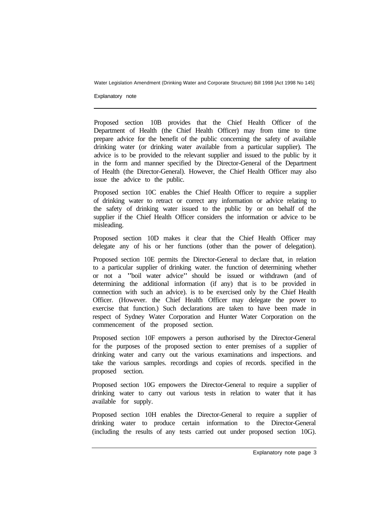Water Legislation Amendment (Drinking Water and Corporate Structure) Bill 1998 [Act 1998 No 145]

Explanatory note

Proposed section 10B provides that the Chief Health Officer of the Department of Health (the Chief Health Officer) may from time to time prepare advice for the benefit of the public concerning the safety of available drinking water (or drinking water available from a particular supplier). The advice is to be provided to the relevant supplier and issued to the public by it in the form and manner specified by the Director-General of the Department of Health (the Director-General). However, the Chief Health Officer may also issue the advice to the public.

Proposed section 10C enables the Chief Health Officer to require a supplier of drinking water to retract or correct any information or advice relating to the safety of drinking water issued to the public by or on behalf of the supplier if the Chief Health Officer considers the information or advice to be misleading.

Proposed section 10D makes it clear that the Chief Health Officer may delegate any of his or her functions (other than the power of delegation).

Proposed section 10E permits the Director-General to declare that, in relation to a particular supplier of drinking water. the function of determining whether or not a "boil water advice" should be issued or withdrawn (and of determining the additional information (if any) that is to be provided in connection with such an advice). is to be exercised only by the Chief Health Officer. (However. the Chief Health Officer may delegate the power to exercise that function.) Such declarations are taken to have been made in respect of Sydney Water Corporation and Hunter Water Corporation on the commencement of the proposed section.

Proposed section 10F empowers a person authorised by the Director-General for the purposes of the proposed section to enter premises of a supplier of drinking water and carry out the various examinations and inspections. and take the various samples. recordings and copies of records. specified in the proposed section.

Proposed section 10G empowers the Director-General to require a supplier of drinking water to carry out various tests in relation to water that it has available for supply.

Proposed section 10H enables the Director-General to require a supplier of drinking water to produce certain information to the Director-General (including the results of any tests carried out under proposed section 10G).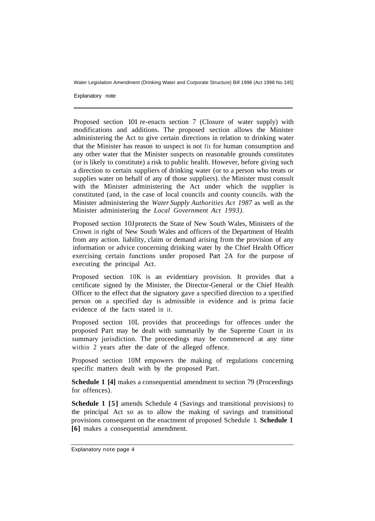Water Legislation Amendment (Drinking Water and Corporate Structure) Bill 1998 (Act 1998 No 145]

Explanatory note

Proposed section 101 re-enacts section 7 (Closure of water supply) with modifications and additions. The proposed section allows the Minister administering the Act to give certain directions in relation to drinking water that the Minister has reason to suspect is not fit for human consumption and any other water that the Minister suspects on reasonable grounds constitutes (or is likely to constitute) a risk to public health. However, before giving such a direction to certain suppliers of drinking water (or to a person who treats or supplies water on behalf of any of those suppliers). the Minister must consult with the Minister administering the Act under which the supplier is constituted (and, in the case of local councils and county councils. with the Minister administering the *Water Supply Authorities Act 1987* as well as the Minister administering the *Local Government Act 1993).* 

Proposed section 10J protects the State of New South Wales, Ministers of the Crown in right of New South Wales and officers of the Department of Health from any action. liability, claim or demand arising from the provision of any information or advice concerning drinking water by the Chief Health Officer exercising certain functions under proposed Part 2A for the purpose of executing the principal Act.

Proposed section 10K is an evidentiary provision. It provides that a certificate signed by the Minister, the Director-General or the Chief Health Officer to the effect that the signatory gave a specified direction to a specified person on a specified day is admissible in evidence and is prima facie evidence of the facts stated in it.

Proposed section 10L provides that proceedings for offences under the proposed Part may be dealt with summarily by the Supreme Court in its summary jurisdiction. The proceedings may be commenced at any time within 2 years after the date of the alleged offence.

Proposed section 10M empowers the making of regulations concerning specific matters dealt with by the proposed Part.

**Schedule 1 [4]** makes a consequential amendment to section 79 (Proceedings) for offences).

**Schedule 1 [5]** amends Schedule 4 (Savings and transitional provisions) to the principal Act so as to allow the making of savings and transitional provisions consequent on the enactment of proposed Schedule 1. **Schedule 1 [6]** makes a consequential amendment.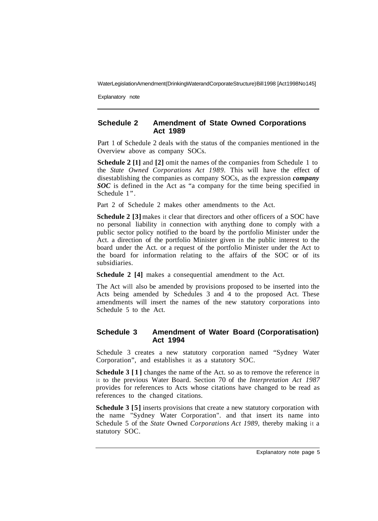WaterLegislation Amendment (Drinking Water and Corporate Structure) Bill 1998 [Act 1998 No 145]

Explanatory note

#### **Schedule 2 Amendment of State Owned Corporations Act 1989**

Part 1 of Schedule 2 deals with the status of the companies mentioned in the Overview above as company SOCs.

**Schedule 2 [1]** and **[2]** omit the names of the companies from Schedule 1 to the *State Owned Corporations Act 1989.* This will have the effect of disestablishing the companies as company SOCs, as the expression *company SOC* is defined in the Act as "a company for the time being specified in Schedule 1".

Part 2 of Schedule 2 makes other amendments to the Act.

**Schedule 2 [3]** makes it clear that directors and other officers of a SOC have no personal liability in connection with anything done to comply with a public sector policy notified to the board by the portfolio Minister under the Act. a direction of the portfolio Minister given in the public interest to the board under the Act. or a request of the portfolio Minister under the Act to the board for information relating to the affairs of the SOC or of its subsidiaries.

**Schedule 2 [4]** makes a consequential amendment to the Act.

The Act will also be amended by provisions proposed to be inserted into the Acts being amended by Schedules 3 and 4 to the proposed Act. These amendments will insert the names of the new statutory corporations into Schedule 5 to the Act.

#### **Schedule 3 Amendment of Water Board (Corporatisation) Act 1994**

Schedule 3 creates a new statutory corporation named "Sydney Water Corporation", and establishes it as a statutory SOC.

**Schedule 3** [1] changes the name of the Act. so as to remove the reference in it to the previous Water Board. Section 70 of the *Interpretation Act 1987*  provides for references to Acts whose citations have changed to be read as references to the changed citations.

**Schedule 3 [5]** inserts provisions that create a new statutory corporation with the name "Sydney Water Corporation". and that insert its name into Schedule 5 of the *State* Owned *Corporations Act 1989,* thereby making it a statutory SOC.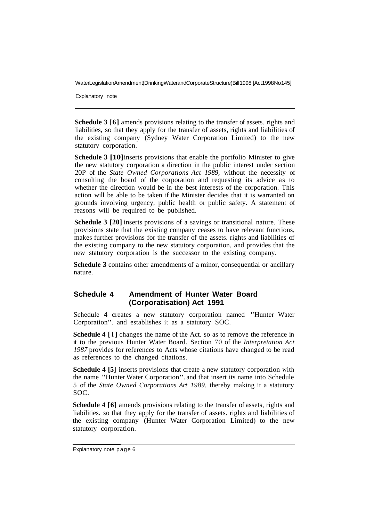WaterLegislationAmendment(DrinkingWaterandCorporateStructure) Bill 1998 [Act 1998 No 145]

Explanatory note

**Schedule 3 [6]** amends provisions relating to the transfer of assets. rights and liabilities, so that they apply for the transfer of assets, rights and liabilities of the existing company (Sydney Water Corporation Limited) to the new statutory corporation.

**Schedule 3 [10]** inserts provisions that enable the portfolio Minister to give the new statutory corporation a direction in the public interest under section 20P of the *State Owned Corporations Act 1989,* without the necessity of consulting the board of the corporation and requesting its advice as to whether the direction would be in the best interests of the corporation. This action will be able to be taken if the Minister decides that it is warranted on grounds involving urgency, public health or public safety. A statement of reasons will be required to be published.

**Schedule 3 [20]** inserts provisions of a savings or transitional nature. These provisions state that the existing company ceases to have relevant functions, makes further provisions for the transfer of the assets. rights and liabilities of the existing company to the new statutory corporation, and provides that the new statutory corporation is the successor to the existing company.

**Schedule 3** contains other amendments of a minor, consequential or ancillary nature.

#### **Schedule 4 Amendment of Hunter Water Board (Corporatisation) Act 1991**

Schedule 4 creates a new statutory corporation named "Hunter Water Corporation". and establishes it as a statutory SOC.

**Schedule 4 [l]** changes the name of the Act. so as to remove the reference in it to the previous Hunter Water Board. Section 70 of the *Interpretation Act 1987* provides for references to Acts whose citations have changed to be read as references to the changed citations.

**Schedule 4 [5]** inserts provisions that create a new statutory corporation with the name "Hunter Water Corporation". and that insert its name into Schedule 5 of the *State Owned Corporations Act 1989,* thereby making it a statutory SOC.

**Schedule 4 [6]** amends provisions relating to the transfer of assets, rights and liabilities. so that they apply for the transfer of assets. rights and liabilities of the existing company (Hunter Water Corporation Limited) to the new statutory corporation.